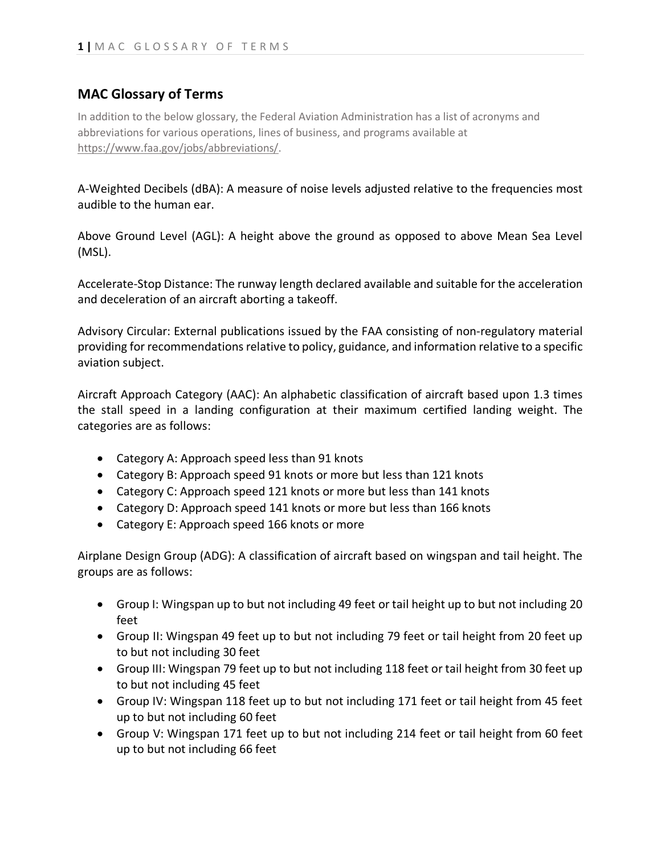## **MAC Glossary of Terms**

In addition to the below glossary, the Federal Aviation Administration has a list of acronyms and abbreviations for various operations, lines of business, and programs available at [https://www.faa.gov/jobs/abbreviations/.](https://www.faa.gov/jobs/abbreviations/)

A-Weighted Decibels (dBA): A measure of noise levels adjusted relative to the frequencies most audible to the human ear.

Above Ground Level (AGL): A height above the ground as opposed to above Mean Sea Level (MSL).

Accelerate-Stop Distance: The runway length declared available and suitable for the acceleration and deceleration of an aircraft aborting a takeoff.

Advisory Circular: External publications issued by the FAA consisting of non-regulatory material providing for recommendations relative to policy, guidance, and information relative to a specific aviation subject.

Aircraft Approach Category (AAC): An alphabetic classification of aircraft based upon 1.3 times the stall speed in a landing configuration at their maximum certified landing weight. The categories are as follows:

- Category A: Approach speed less than 91 knots
- Category B: Approach speed 91 knots or more but less than 121 knots
- Category C: Approach speed 121 knots or more but less than 141 knots
- Category D: Approach speed 141 knots or more but less than 166 knots
- Category E: Approach speed 166 knots or more

Airplane Design Group (ADG): A classification of aircraft based on wingspan and tail height. The groups are as follows:

- Group I: Wingspan up to but not including 49 feet or tail height up to but not including 20 feet
- Group II: Wingspan 49 feet up to but not including 79 feet or tail height from 20 feet up to but not including 30 feet
- Group III: Wingspan 79 feet up to but not including 118 feet or tail height from 30 feet up to but not including 45 feet
- Group IV: Wingspan 118 feet up to but not including 171 feet or tail height from 45 feet up to but not including 60 feet
- Group V: Wingspan 171 feet up to but not including 214 feet or tail height from 60 feet up to but not including 66 feet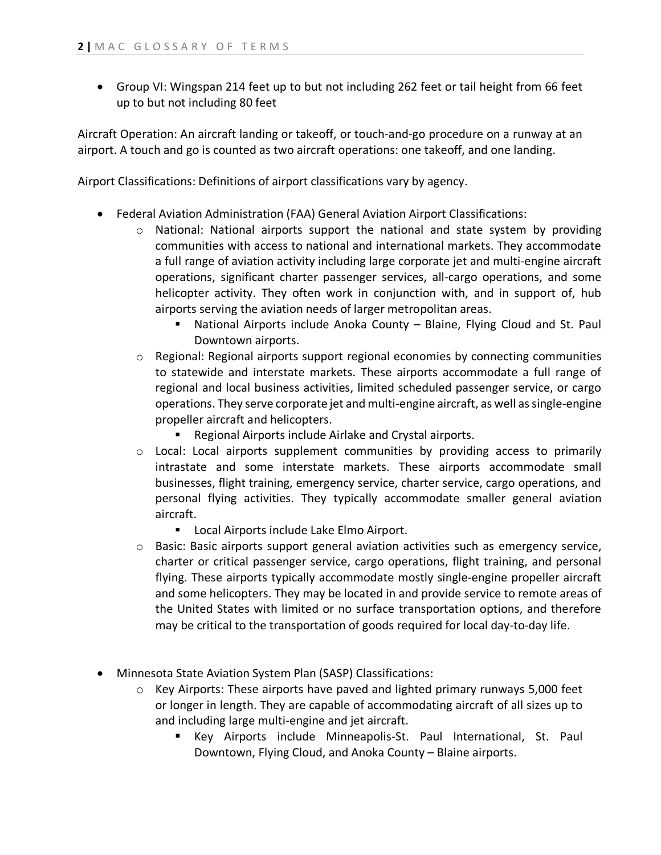• Group VI: Wingspan 214 feet up to but not including 262 feet or tail height from 66 feet up to but not including 80 feet

Aircraft Operation: An aircraft landing or takeoff, or touch-and-go procedure on a runway at an airport. A touch and go is counted as two aircraft operations: one takeoff, and one landing.

Airport Classifications: Definitions of airport classifications vary by agency.

- Federal Aviation Administration (FAA) General Aviation Airport Classifications:
	- $\circ$  National: National airports support the national and state system by providing communities with access to national and international markets. They accommodate a full range of aviation activity including large corporate jet and multi-engine aircraft operations, significant charter passenger services, all-cargo operations, and some helicopter activity. They often work in conjunction with, and in support of, hub airports serving the aviation needs of larger metropolitan areas.
		- National Airports include Anoka County Blaine, Flying Cloud and St. Paul Downtown airports.
	- o Regional: Regional airports support regional economies by connecting communities to statewide and interstate markets. These airports accommodate a full range of regional and local business activities, limited scheduled passenger service, or cargo operations. They serve corporate jet and multi-engine aircraft, as well as single-engine propeller aircraft and helicopters.
		- **Regional Airports include Airlake and Crystal airports.**
	- o Local: Local airports supplement communities by providing access to primarily intrastate and some interstate markets. These airports accommodate small businesses, flight training, emergency service, charter service, cargo operations, and personal flying activities. They typically accommodate smaller general aviation aircraft.
		- **Local Airports include Lake Elmo Airport.**
	- o Basic: Basic airports support general aviation activities such as emergency service, charter or critical passenger service, cargo operations, flight training, and personal flying. These airports typically accommodate mostly single-engine propeller aircraft and some helicopters. They may be located in and provide service to remote areas of the United States with limited or no surface transportation options, and therefore may be critical to the transportation of goods required for local day-to-day life.
- Minnesota State Aviation System Plan (SASP) Classifications:
	- o Key Airports: These airports have paved and lighted primary runways 5,000 feet or longer in length. They are capable of accommodating aircraft of all sizes up to and including large multi-engine and jet aircraft.
		- Key Airports include Minneapolis-St. Paul International, St. Paul Downtown, Flying Cloud, and Anoka County – Blaine airports.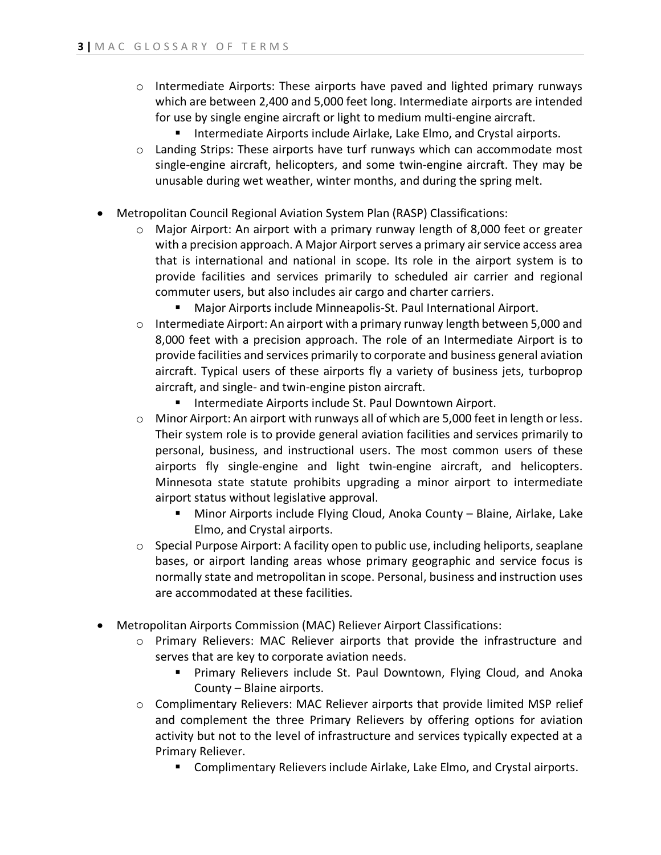- $\circ$  Intermediate Airports: These airports have paved and lighted primary runways which are between 2,400 and 5,000 feet long. Intermediate airports are intended for use by single engine aircraft or light to medium multi-engine aircraft.
	- **Intermediate Airports include Airlake, Lake Elmo, and Crystal airports.**
- o Landing Strips: These airports have turf runways which can accommodate most single-engine aircraft, helicopters, and some twin-engine aircraft. They may be unusable during wet weather, winter months, and during the spring melt.
- Metropolitan Council Regional Aviation System Plan (RASP) Classifications:
	- $\circ$  Major Airport: An airport with a primary runway length of 8,000 feet or greater with a precision approach. A Major Airport serves a primary air service access area that is international and national in scope. Its role in the airport system is to provide facilities and services primarily to scheduled air carrier and regional commuter users, but also includes air cargo and charter carriers.
		- Major Airports include Minneapolis-St. Paul International Airport.
	- $\circ$  Intermediate Airport: An airport with a primary runway length between 5,000 and 8,000 feet with a precision approach. The role of an Intermediate Airport is to provide facilities and services primarily to corporate and business general aviation aircraft. Typical users of these airports fly a variety of business jets, turboprop aircraft, and single- and twin-engine piston aircraft.
		- **Intermediate Airports include St. Paul Downtown Airport.**
	- o Minor Airport: An airport with runways all of which are 5,000 feet in length or less. Their system role is to provide general aviation facilities and services primarily to personal, business, and instructional users. The most common users of these airports fly single-engine and light twin-engine aircraft, and helicopters. Minnesota state statute prohibits upgrading a minor airport to intermediate airport status without legislative approval.
		- Minor Airports include Flying Cloud, Anoka County Blaine, Airlake, Lake Elmo, and Crystal airports.
	- o Special Purpose Airport: A facility open to public use, including heliports, seaplane bases, or airport landing areas whose primary geographic and service focus is normally state and metropolitan in scope. Personal, business and instruction uses are accommodated at these facilities.
- Metropolitan Airports Commission (MAC) Reliever Airport Classifications:
	- o Primary Relievers: MAC Reliever airports that provide the infrastructure and serves that are key to corporate aviation needs.
		- **Primary Relievers include St. Paul Downtown, Flying Cloud, and Anoka** County – Blaine airports.
	- o Complimentary Relievers: MAC Reliever airports that provide limited MSP relief and complement the three Primary Relievers by offering options for aviation activity but not to the level of infrastructure and services typically expected at a Primary Reliever.
		- **E** Complimentary Relievers include Airlake, Lake Elmo, and Crystal airports.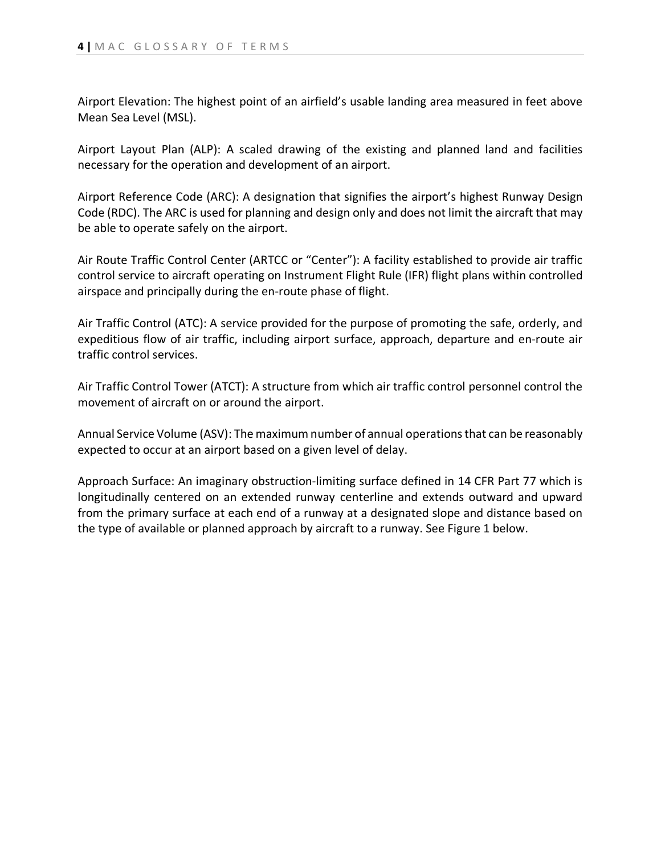Airport Elevation: The highest point of an airfield's usable landing area measured in feet above Mean Sea Level (MSL).

Airport Layout Plan (ALP): A scaled drawing of the existing and planned land and facilities necessary for the operation and development of an airport.

Airport Reference Code (ARC): A designation that signifies the airport's highest Runway Design Code (RDC). The ARC is used for planning and design only and does not limit the aircraft that may be able to operate safely on the airport.

Air Route Traffic Control Center (ARTCC or "Center"): A facility established to provide air traffic control service to aircraft operating on Instrument Flight Rule (IFR) flight plans within controlled airspace and principally during the en-route phase of flight.

Air Traffic Control (ATC): A service provided for the purpose of promoting the safe, orderly, and expeditious flow of air traffic, including airport surface, approach, departure and en-route air traffic control services.

Air Traffic Control Tower (ATCT): A structure from which air traffic control personnel control the movement of aircraft on or around the airport.

Annual Service Volume (ASV): The maximum number of annual operations that can be reasonably expected to occur at an airport based on a given level of delay.

Approach Surface: An imaginary obstruction-limiting surface defined in 14 CFR Part 77 which is longitudinally centered on an extended runway centerline and extends outward and upward from the primary surface at each end of a runway at a designated slope and distance based on the type of available or planned approach by aircraft to a runway. See Figure 1 below.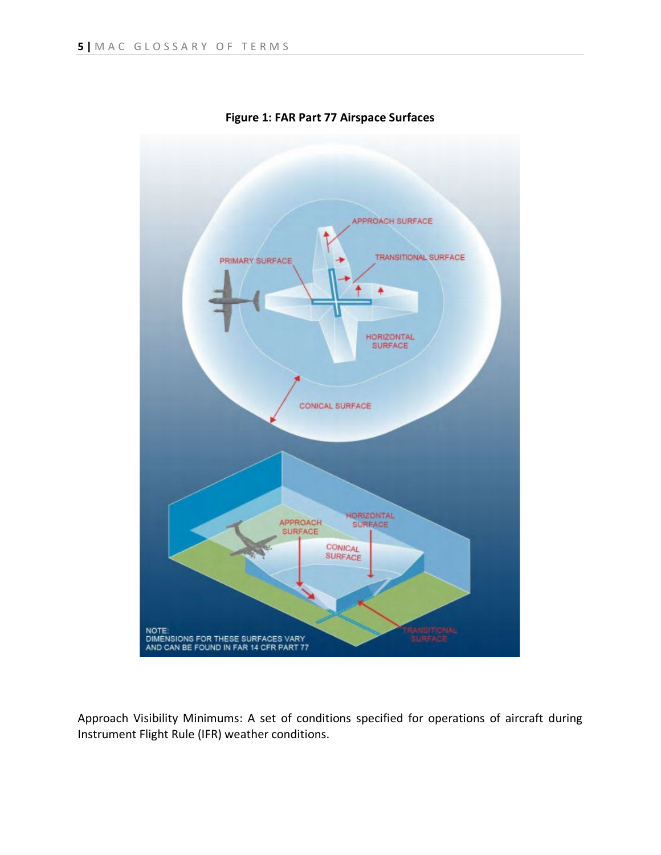

**Figure 1: FAR Part 77 Airspace Surfaces**

Approach Visibility Minimums: A set of conditions specified for operations of aircraft during Instrument Flight Rule (IFR) weather conditions.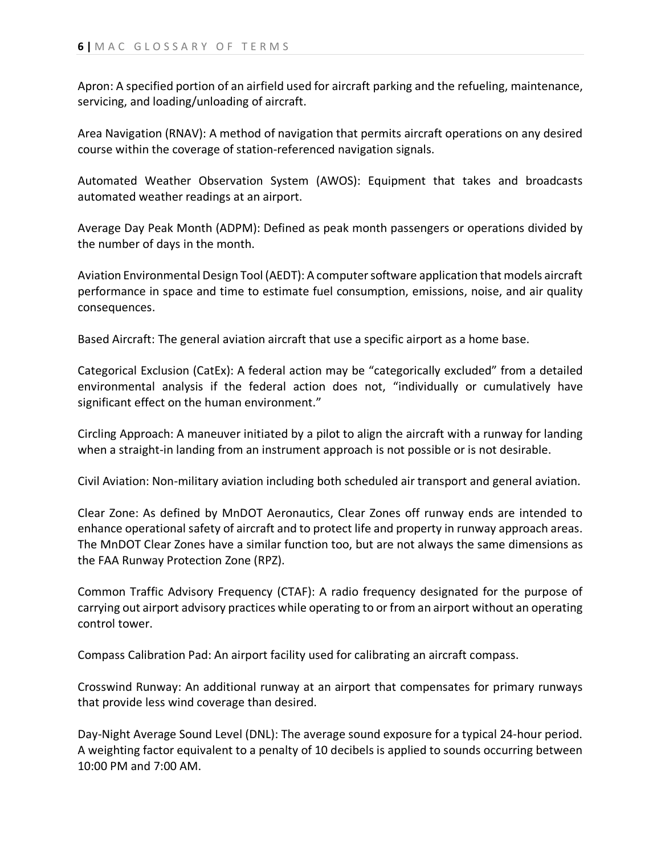Apron: A specified portion of an airfield used for aircraft parking and the refueling, maintenance, servicing, and loading/unloading of aircraft.

Area Navigation (RNAV): A method of navigation that permits aircraft operations on any desired course within the coverage of station-referenced navigation signals.

Automated Weather Observation System (AWOS): Equipment that takes and broadcasts automated weather readings at an airport.

Average Day Peak Month (ADPM): Defined as peak month passengers or operations divided by the number of days in the month.

Aviation Environmental Design Tool (AEDT): A computer software application that models aircraft performance in space and time to estimate fuel consumption, emissions, noise, and air quality consequences.

Based Aircraft: The general aviation aircraft that use a specific airport as a home base.

Categorical Exclusion (CatEx): A federal action may be "categorically excluded" from a detailed environmental analysis if the federal action does not, "individually or cumulatively have significant effect on the human environment."

Circling Approach: A maneuver initiated by a pilot to align the aircraft with a runway for landing when a straight-in landing from an instrument approach is not possible or is not desirable.

Civil Aviation: Non-military aviation including both scheduled air transport and general aviation.

Clear Zone: As defined by MnDOT Aeronautics, Clear Zones off runway ends are intended to enhance operational safety of aircraft and to protect life and property in runway approach areas. The MnDOT Clear Zones have a similar function too, but are not always the same dimensions as the FAA Runway Protection Zone (RPZ).

Common Traffic Advisory Frequency (CTAF): A radio frequency designated for the purpose of carrying out airport advisory practices while operating to or from an airport without an operating control tower.

Compass Calibration Pad: An airport facility used for calibrating an aircraft compass.

Crosswind Runway: An additional runway at an airport that compensates for primary runways that provide less wind coverage than desired.

Day-Night Average Sound Level (DNL): The average sound exposure for a typical 24-hour period. A weighting factor equivalent to a penalty of 10 decibels is applied to sounds occurring between 10:00 PM and 7:00 AM.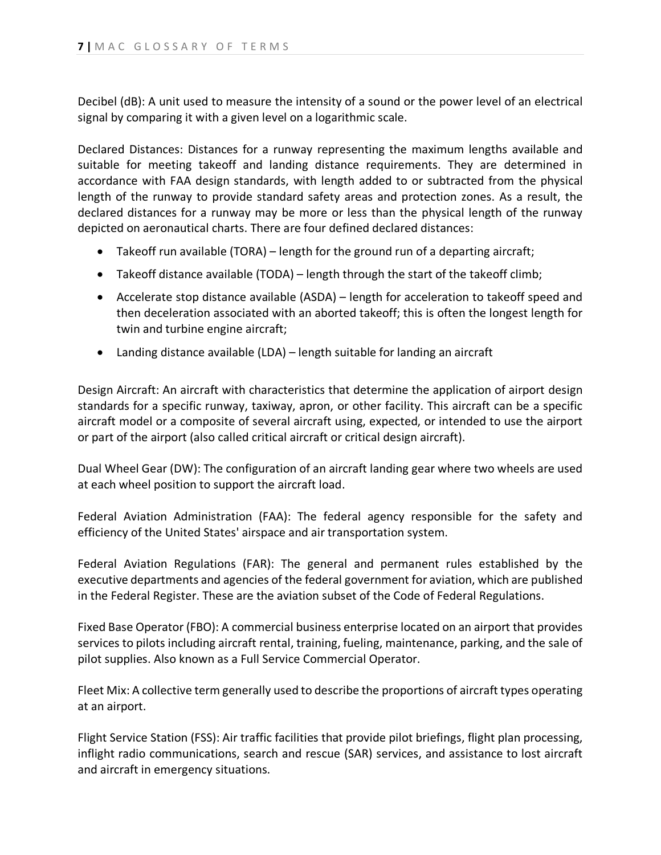Decibel (dB): A unit used to measure the intensity of a sound or the power level of an electrical signal by comparing it with a given level on a logarithmic scale.

Declared Distances: Distances for a runway representing the maximum lengths available and suitable for meeting takeoff and landing distance requirements. They are determined in accordance with FAA design standards, with length added to or subtracted from the physical length of the runway to provide standard safety areas and protection zones. As a result, the declared distances for a runway may be more or less than the physical length of the runway depicted on aeronautical charts. There are four defined declared distances:

- Takeoff run available (TORA) length for the ground run of a departing aircraft;
- Takeoff distance available (TODA) length through the start of the takeoff climb;
- Accelerate stop distance available (ASDA) length for acceleration to takeoff speed and then deceleration associated with an aborted takeoff; this is often the longest length for twin and turbine engine aircraft;
- Landing distance available (LDA) length suitable for landing an aircraft

Design Aircraft: An aircraft with characteristics that determine the application of airport design standards for a specific runway, taxiway, apron, or other facility. This aircraft can be a specific aircraft model or a composite of several aircraft using, expected, or intended to use the airport or part of the airport (also called critical aircraft or critical design aircraft).

Dual Wheel Gear (DW): The configuration of an aircraft landing gear where two wheels are used at each wheel position to support the aircraft load.

Federal Aviation Administration (FAA): The federal agency responsible for the safety and efficiency of the United States' airspace and air transportation system.

Federal Aviation Regulations (FAR): The general and permanent rules established by the executive departments and agencies of the federal government for aviation, which are published in the Federal Register. These are the aviation subset of the Code of Federal Regulations.

Fixed Base Operator (FBO): A commercial business enterprise located on an airport that provides services to pilots including aircraft rental, training, fueling, maintenance, parking, and the sale of pilot supplies. Also known as a Full Service Commercial Operator.

Fleet Mix: A collective term generally used to describe the proportions of aircraft types operating at an airport.

Flight Service Station (FSS): Air traffic facilities that provide pilot briefings, flight plan processing, inflight radio communications, search and rescue (SAR) services, and assistance to lost aircraft and aircraft in emergency situations.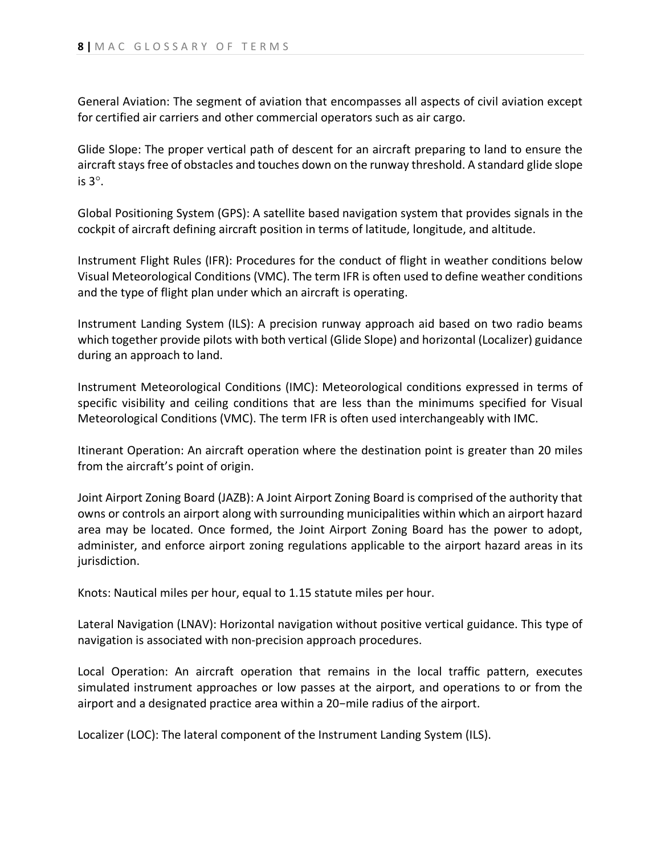General Aviation: The segment of aviation that encompasses all aspects of civil aviation except for certified air carriers and other commercial operators such as air cargo.

Glide Slope: The proper vertical path of descent for an aircraft preparing to land to ensure the aircraft stays free of obstacles and touches down on the runway threshold. A standard glide slope is 3°.

Global Positioning System (GPS): A satellite based navigation system that provides signals in the cockpit of aircraft defining aircraft position in terms of latitude, longitude, and altitude.

Instrument Flight Rules (IFR): Procedures for the conduct of flight in weather conditions below Visual Meteorological Conditions (VMC). The term IFR is often used to define weather conditions and the type of flight plan under which an aircraft is operating.

Instrument Landing System (ILS): A precision runway approach aid based on two radio beams which together provide pilots with both vertical (Glide Slope) and horizontal (Localizer) guidance during an approach to land.

Instrument Meteorological Conditions (IMC): Meteorological conditions expressed in terms of specific visibility and ceiling conditions that are less than the minimums specified for Visual Meteorological Conditions (VMC). The term IFR is often used interchangeably with IMC.

Itinerant Operation: An aircraft operation where the destination point is greater than 20 miles from the aircraft's point of origin.

Joint Airport Zoning Board (JAZB): A Joint Airport Zoning Board is comprised of the authority that owns or controls an airport along with surrounding municipalities within which an airport hazard area may be located. Once formed, the Joint Airport Zoning Board has the power to adopt, administer, and enforce airport zoning regulations applicable to the airport hazard areas in its jurisdiction.

Knots: Nautical miles per hour, equal to 1.15 statute miles per hour.

Lateral Navigation (LNAV): Horizontal navigation without positive vertical guidance. This type of navigation is associated with non-precision approach procedures.

Local Operation: An aircraft operation that remains in the local traffic pattern, executes simulated instrument approaches or low passes at the airport, and operations to or from the airport and a designated practice area within a 20−mile radius of the airport.

Localizer (LOC): The lateral component of the Instrument Landing System (ILS).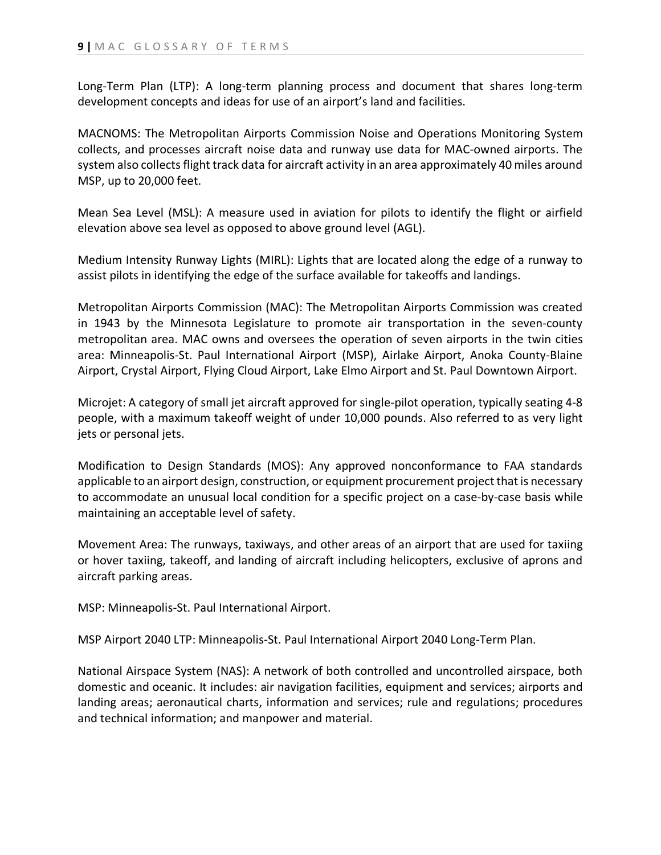Long-Term Plan (LTP): A long-term planning process and document that shares long-term development concepts and ideas for use of an airport's land and facilities.

MACNOMS: The Metropolitan Airports Commission Noise and Operations Monitoring System collects, and processes aircraft noise data and runway use data for MAC-owned airports. The system also collects flight track data for aircraft activity in an area approximately 40 miles around MSP, up to 20,000 feet.

Mean Sea Level (MSL): A measure used in aviation for pilots to identify the flight or airfield elevation above sea level as opposed to above ground level (AGL).

Medium Intensity Runway Lights (MIRL): Lights that are located along the edge of a runway to assist pilots in identifying the edge of the surface available for takeoffs and landings.

Metropolitan Airports Commission (MAC): The Metropolitan Airports Commission was created in 1943 by the Minnesota Legislature to promote air transportation in the seven-county metropolitan area. MAC owns and oversees the operation of seven airports in the twin cities area: Minneapolis-St. Paul International Airport (MSP), Airlake Airport, Anoka County-Blaine Airport, Crystal Airport, Flying Cloud Airport, Lake Elmo Airport and St. Paul Downtown Airport.

Microjet: A category of small jet aircraft approved for single-pilot operation, typically seating 4-8 people, with a maximum takeoff weight of under 10,000 pounds. Also referred to as very light jets or personal jets.

Modification to Design Standards (MOS): Any approved nonconformance to FAA standards applicable to an airport design, construction, or equipment procurement project that is necessary to accommodate an unusual local condition for a specific project on a case-by-case basis while maintaining an acceptable level of safety.

Movement Area: The runways, taxiways, and other areas of an airport that are used for taxiing or hover taxiing, takeoff, and landing of aircraft including helicopters, exclusive of aprons and aircraft parking areas.

MSP: Minneapolis-St. Paul International Airport.

MSP Airport 2040 LTP: Minneapolis-St. Paul International Airport 2040 Long-Term Plan.

National Airspace System (NAS): A network of both controlled and uncontrolled airspace, both domestic and oceanic. It includes: air navigation facilities, equipment and services; airports and landing areas; aeronautical charts, information and services; rule and regulations; procedures and technical information; and manpower and material.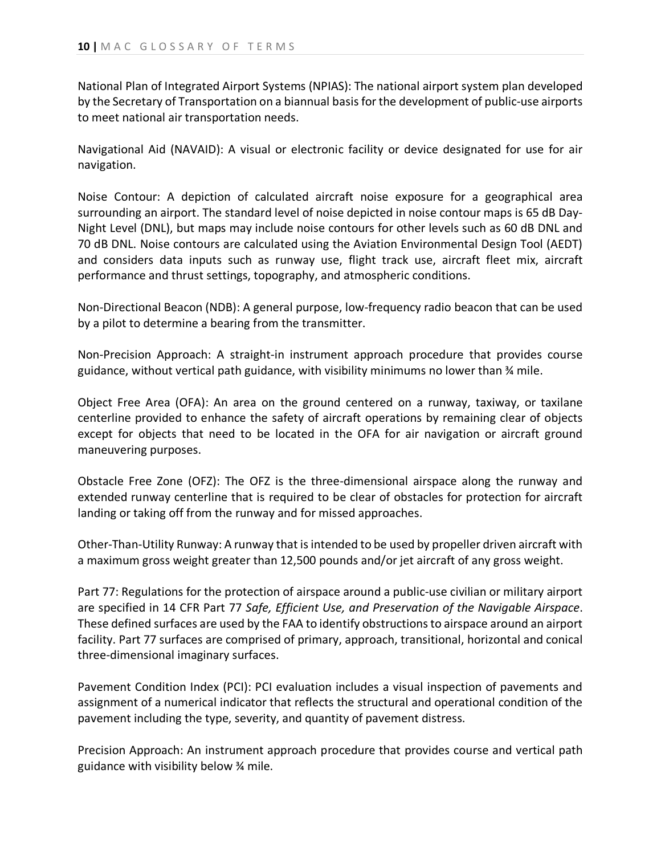National Plan of Integrated Airport Systems (NPIAS): The national airport system plan developed by the Secretary of Transportation on a biannual basis for the development of public-use airports to meet national air transportation needs.

Navigational Aid (NAVAID): A visual or electronic facility or device designated for use for air navigation.

Noise Contour: A depiction of calculated aircraft noise exposure for a geographical area surrounding an airport. The standard level of noise depicted in noise contour maps is 65 dB Day-Night Level (DNL), but maps may include noise contours for other levels such as 60 dB DNL and 70 dB DNL. Noise contours are calculated using the Aviation Environmental Design Tool (AEDT) and considers data inputs such as runway use, flight track use, aircraft fleet mix, aircraft performance and thrust settings, topography, and atmospheric conditions.

Non-Directional Beacon (NDB): A general purpose, low-frequency radio beacon that can be used by a pilot to determine a bearing from the transmitter.

Non-Precision Approach: A straight-in instrument approach procedure that provides course guidance, without vertical path guidance, with visibility minimums no lower than ¾ mile.

Object Free Area (OFA): An area on the ground centered on a runway, taxiway, or taxilane centerline provided to enhance the safety of aircraft operations by remaining clear of objects except for objects that need to be located in the OFA for air navigation or aircraft ground maneuvering purposes.

Obstacle Free Zone (OFZ): The OFZ is the three-dimensional airspace along the runway and extended runway centerline that is required to be clear of obstacles for protection for aircraft landing or taking off from the runway and for missed approaches.

Other-Than-Utility Runway: A runway that is intended to be used by propeller driven aircraft with a maximum gross weight greater than 12,500 pounds and/or jet aircraft of any gross weight.

Part 77: Regulations for the protection of airspace around a public-use civilian or military airport are specified in 14 CFR Part 77 *Safe, Efficient Use, and Preservation of the Navigable Airspace*. These defined surfaces are used by the FAA to identify obstructions to airspace around an airport facility. Part 77 surfaces are comprised of primary, approach, transitional, horizontal and conical three-dimensional imaginary surfaces.

Pavement Condition Index (PCI): PCI evaluation includes a visual inspection of pavements and assignment of a numerical indicator that reflects the structural and operational condition of the pavement including the type, severity, and quantity of pavement distress.

Precision Approach: An instrument approach procedure that provides course and vertical path guidance with visibility below ¾ mile.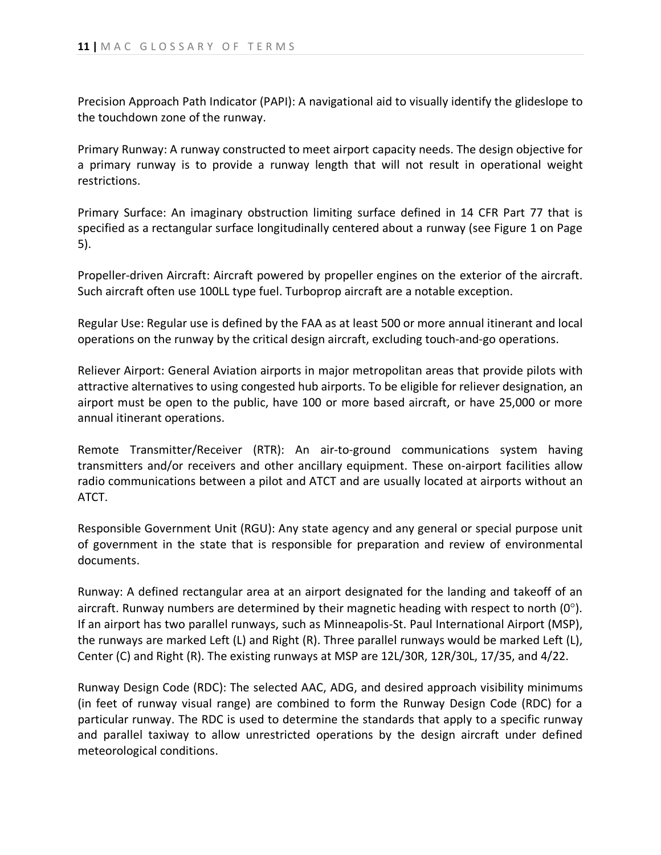Precision Approach Path Indicator (PAPI): A navigational aid to visually identify the glideslope to the touchdown zone of the runway.

Primary Runway: A runway constructed to meet airport capacity needs. The design objective for a primary runway is to provide a runway length that will not result in operational weight restrictions.

Primary Surface: An imaginary obstruction limiting surface defined in 14 CFR Part 77 that is specified as a rectangular surface longitudinally centered about a runway (see Figure 1 on Page 5).

Propeller-driven Aircraft: Aircraft powered by propeller engines on the exterior of the aircraft. Such aircraft often use 100LL type fuel. Turboprop aircraft are a notable exception.

Regular Use: Regular use is defined by the FAA as at least 500 or more annual itinerant and local operations on the runway by the critical design aircraft, excluding touch-and-go operations.

Reliever Airport: General Aviation airports in major metropolitan areas that provide pilots with attractive alternatives to using congested hub airports. To be eligible for reliever designation, an airport must be open to the public, have 100 or more based aircraft, or have 25,000 or more annual itinerant operations.

Remote Transmitter/Receiver (RTR): An air-to-ground communications system having transmitters and/or receivers and other ancillary equipment. These on-airport facilities allow radio communications between a pilot and ATCT and are usually located at airports without an ATCT.

Responsible Government Unit (RGU): Any state agency and any general or special purpose unit of government in the state that is responsible for preparation and review of environmental documents.

Runway: A defined rectangular area at an airport designated for the landing and takeoff of an aircraft. Runway numbers are determined by their magnetic heading with respect to north  $(0^{\circ})$ . If an airport has two parallel runways, such as Minneapolis-St. Paul International Airport (MSP), the runways are marked Left (L) and Right (R). Three parallel runways would be marked Left (L), Center (C) and Right (R). The existing runways at MSP are 12L/30R, 12R/30L, 17/35, and 4/22.

Runway Design Code (RDC): The selected AAC, ADG, and desired approach visibility minimums (in feet of runway visual range) are combined to form the Runway Design Code (RDC) for a particular runway. The RDC is used to determine the standards that apply to a specific runway and parallel taxiway to allow unrestricted operations by the design aircraft under defined meteorological conditions.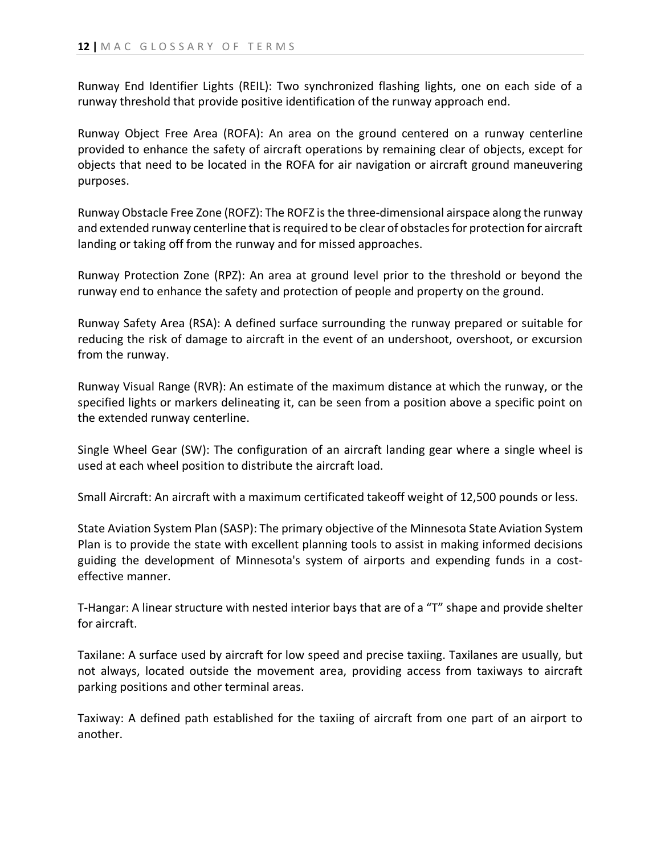Runway End Identifier Lights (REIL): Two synchronized flashing lights, one on each side of a runway threshold that provide positive identification of the runway approach end.

Runway Object Free Area (ROFA): An area on the ground centered on a runway centerline provided to enhance the safety of aircraft operations by remaining clear of objects, except for objects that need to be located in the ROFA for air navigation or aircraft ground maneuvering purposes.

Runway Obstacle Free Zone (ROFZ): The ROFZ is the three-dimensional airspace along the runway and extended runway centerline that is required to be clear of obstacles for protection for aircraft landing or taking off from the runway and for missed approaches.

Runway Protection Zone (RPZ): An area at ground level prior to the threshold or beyond the runway end to enhance the safety and protection of people and property on the ground.

Runway Safety Area (RSA): A defined surface surrounding the runway prepared or suitable for reducing the risk of damage to aircraft in the event of an undershoot, overshoot, or excursion from the runway.

Runway Visual Range (RVR): An estimate of the maximum distance at which the runway, or the specified lights or markers delineating it, can be seen from a position above a specific point on the extended runway centerline.

Single Wheel Gear (SW): The configuration of an aircraft landing gear where a single wheel is used at each wheel position to distribute the aircraft load.

Small Aircraft: An aircraft with a maximum certificated takeoff weight of 12,500 pounds or less.

State Aviation System Plan (SASP): The primary objective of the Minnesota State Aviation System Plan is to provide the state with excellent planning tools to assist in making informed decisions guiding the development of Minnesota's system of airports and expending funds in a costeffective manner.

T-Hangar: A linear structure with nested interior bays that are of a "T" shape and provide shelter for aircraft.

Taxilane: A surface used by aircraft for low speed and precise taxiing. Taxilanes are usually, but not always, located outside the movement area, providing access from taxiways to aircraft parking positions and other terminal areas.

Taxiway: A defined path established for the taxiing of aircraft from one part of an airport to another.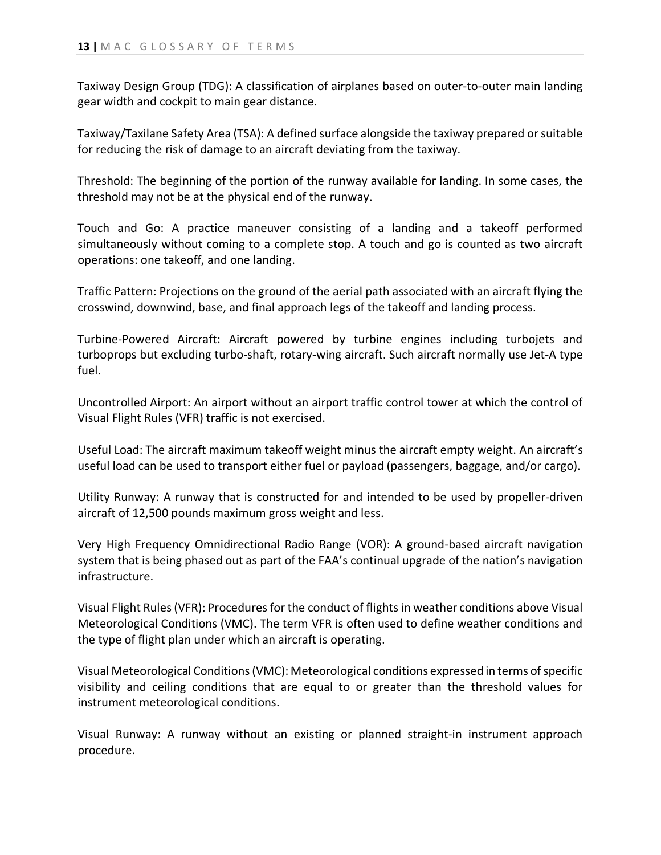Taxiway Design Group (TDG): A classification of airplanes based on outer-to-outer main landing gear width and cockpit to main gear distance.

Taxiway/Taxilane Safety Area (TSA): A defined surface alongside the taxiway prepared or suitable for reducing the risk of damage to an aircraft deviating from the taxiway.

Threshold: The beginning of the portion of the runway available for landing. In some cases, the threshold may not be at the physical end of the runway.

Touch and Go: A practice maneuver consisting of a landing and a takeoff performed simultaneously without coming to a complete stop. A touch and go is counted as two aircraft operations: one takeoff, and one landing.

Traffic Pattern: Projections on the ground of the aerial path associated with an aircraft flying the crosswind, downwind, base, and final approach legs of the takeoff and landing process.

Turbine-Powered Aircraft: Aircraft powered by turbine engines including turbojets and turboprops but excluding turbo-shaft, rotary-wing aircraft. Such aircraft normally use Jet-A type fuel.

Uncontrolled Airport: An airport without an airport traffic control tower at which the control of Visual Flight Rules (VFR) traffic is not exercised.

Useful Load: The aircraft maximum takeoff weight minus the aircraft empty weight. An aircraft's useful load can be used to transport either fuel or payload (passengers, baggage, and/or cargo).

Utility Runway: A runway that is constructed for and intended to be used by propeller-driven aircraft of 12,500 pounds maximum gross weight and less.

Very High Frequency Omnidirectional Radio Range (VOR): A ground-based aircraft navigation system that is being phased out as part of the FAA's continual upgrade of the nation's navigation infrastructure.

Visual Flight Rules (VFR): Procedures for the conduct of flights in weather conditions above Visual Meteorological Conditions (VMC). The term VFR is often used to define weather conditions and the type of flight plan under which an aircraft is operating.

Visual Meteorological Conditions (VMC): Meteorological conditions expressed in terms of specific visibility and ceiling conditions that are equal to or greater than the threshold values for instrument meteorological conditions.

Visual Runway: A runway without an existing or planned straight-in instrument approach procedure.